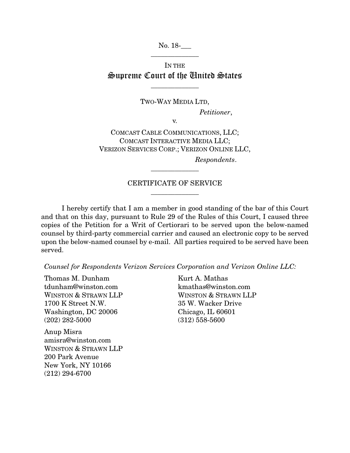No. 18-\_\_\_ \_\_\_\_\_\_\_\_\_\_\_\_\_\_

## IN THE Supreme Court of the United States

\_\_\_\_\_\_\_\_\_\_\_\_\_\_

TWO-WAY MEDIA LTD, *Petitioner*,

v.

COMCAST CABLE COMMUNICATIONS, LLC; COMCAST INTERACTIVE MEDIA LLC; VERIZON SERVICES CORP.; VERIZON ONLINE LLC, *Respondents*.

## CERTIFICATE OF SERVICE  $\overline{\phantom{a}}$  , we can also the contract of  $\overline{\phantom{a}}$

\_\_\_\_\_\_\_\_\_\_\_\_\_\_

I hereby certify that I am a member in good standing of the bar of this Court and that on this day, pursuant to Rule 29 of the Rules of this Court, I caused three copies of the Petition for a Writ of Certiorari to be served upon the below-named counsel by third-party commercial carrier and caused an electronic copy to be served upon the below-named counsel by e-mail. All parties required to be served have been served.

*Counsel for Respondents Verizon Services Corporation and Verizon Online LLC:*

Thomas M. Dunham tdunham@winston.com WINSTON & STRAWN LLP 1700 K Street N.W. Washington, DC 20006 (202) 282-5000

Anup Misra amisra@winston.com WINSTON & STRAWN LLP 200 Park Avenue New York, NY 10166 (212) 294-6700

Kurt A. Mathas kmathas@winston.com WINSTON & STRAWN LLP 35 W. Wacker Drive Chicago, IL 60601 (312) 558-5600